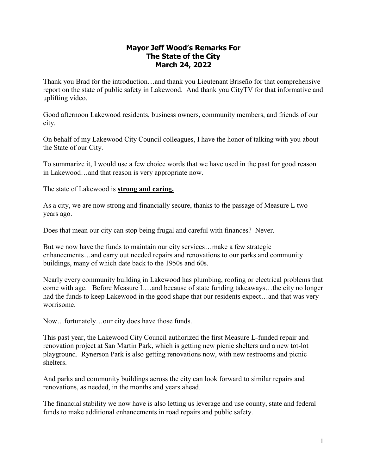## **Mayor Jeff Wood's Remarks For The State of the City March 24, 2022**

Thank you Brad for the introduction…and thank you Lieutenant Briseño for that comprehensive report on the state of public safety in Lakewood. And thank you CityTV for that informative and uplifting video.

Good afternoon Lakewood residents, business owners, community members, and friends of our city.

On behalf of my Lakewood City Council colleagues, I have the honor of talking with you about the State of our City.

To summarize it, I would use a few choice words that we have used in the past for good reason in Lakewood…and that reason is very appropriate now.

The state of Lakewood is **strong and caring.**

As a city, we are now strong and financially secure, thanks to the passage of Measure L two years ago.

Does that mean our city can stop being frugal and careful with finances? Never.

But we now have the funds to maintain our city services…make a few strategic enhancements…and carry out needed repairs and renovations to our parks and community buildings, many of which date back to the 1950s and 60s.

Nearly every community building in Lakewood has plumbing, roofing or electrical problems that come with age. Before Measure L…and because of state funding takeaways…the city no longer had the funds to keep Lakewood in the good shape that our residents expect…and that was very worrisome.

Now…fortunately…our city does have those funds.

This past year, the Lakewood City Council authorized the first Measure L-funded repair and renovation project at San Martin Park, which is getting new picnic shelters and a new tot-lot playground. Rynerson Park is also getting renovations now, with new restrooms and picnic shelters.

And parks and community buildings across the city can look forward to similar repairs and renovations, as needed, in the months and years ahead.

The financial stability we now have is also letting us leverage and use county, state and federal funds to make additional enhancements in road repairs and public safety.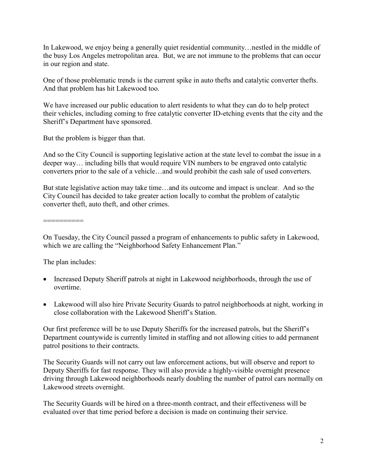In Lakewood, we enjoy being a generally quiet residential community…nestled in the middle of the busy Los Angeles metropolitan area. But, we are not immune to the problems that can occur in our region and state.

One of those problematic trends is the current spike in auto thefts and catalytic converter thefts. And that problem has hit Lakewood too.

We have increased our public education to alert residents to what they can do to help protect their vehicles, including coming to free catalytic converter ID-etching events that the city and the Sheriff's Department have sponsored.

But the problem is bigger than that.

And so the City Council is supporting legislative action at the state level to combat the issue in a deeper way… including bills that would require VIN numbers to be engraved onto catalytic converters prior to the sale of a vehicle…and would prohibit the cash sale of used converters.

But state legislative action may take time…and its outcome and impact is unclear. And so the City Council has decided to take greater action locally to combat the problem of catalytic converter theft, auto theft, and other crimes.

==========

On Tuesday, the City Council passed a program of enhancements to public safety in Lakewood, which we are calling the "Neighborhood Safety Enhancement Plan."

The plan includes:

- Increased Deputy Sheriff patrols at night in Lakewood neighborhoods, through the use of overtime.
- Lakewood will also hire Private Security Guards to patrol neighborhoods at night, working in close collaboration with the Lakewood Sheriff's Station.

Our first preference will be to use Deputy Sheriffs for the increased patrols, but the Sheriff's Department countywide is currently limited in staffing and not allowing cities to add permanent patrol positions to their contracts.

The Security Guards will not carry out law enforcement actions, but will observe and report to Deputy Sheriffs for fast response. They will also provide a highly-visible overnight presence driving through Lakewood neighborhoods nearly doubling the number of patrol cars normally on Lakewood streets overnight.

The Security Guards will be hired on a three-month contract, and their effectiveness will be evaluated over that time period before a decision is made on continuing their service.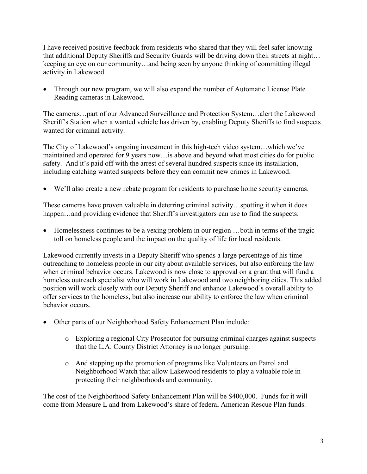I have received positive feedback from residents who shared that they will feel safer knowing that additional Deputy Sheriffs and Security Guards will be driving down their streets at night… keeping an eye on our community…and being seen by anyone thinking of committing illegal activity in Lakewood.

 Through our new program, we will also expand the number of Automatic License Plate Reading cameras in Lakewood.

The cameras…part of our Advanced Surveillance and Protection System…alert the Lakewood Sheriff's Station when a wanted vehicle has driven by, enabling Deputy Sheriffs to find suspects wanted for criminal activity.

The City of Lakewood's ongoing investment in this high-tech video system…which we've maintained and operated for 9 years now…is above and beyond what most cities do for public safety. And it's paid off with the arrest of several hundred suspects since its installation, including catching wanted suspects before they can commit new crimes in Lakewood.

We'll also create a new rebate program for residents to purchase home security cameras.

These cameras have proven valuable in deterring criminal activity…spotting it when it does happen...and providing evidence that Sheriff's investigators can use to find the suspects.

 Homelessness continues to be a vexing problem in our region …both in terms of the tragic toll on homeless people and the impact on the quality of life for local residents.

Lakewood currently invests in a Deputy Sheriff who spends a large percentage of his time outreaching to homeless people in our city about available services, but also enforcing the law when criminal behavior occurs. Lakewood is now close to approval on a grant that will fund a homeless outreach specialist who will work in Lakewood and two neighboring cities. This added position will work closely with our Deputy Sheriff and enhance Lakewood's overall ability to offer services to the homeless, but also increase our ability to enforce the law when criminal behavior occurs.

- Other parts of our Neighborhood Safety Enhancement Plan include:
	- o Exploring a regional City Prosecutor for pursuing criminal charges against suspects that the L.A. County District Attorney is no longer pursuing.
	- o And stepping up the promotion of programs like Volunteers on Patrol and Neighborhood Watch that allow Lakewood residents to play a valuable role in protecting their neighborhoods and community.

The cost of the Neighborhood Safety Enhancement Plan will be \$400,000. Funds for it will come from Measure L and from Lakewood's share of federal American Rescue Plan funds.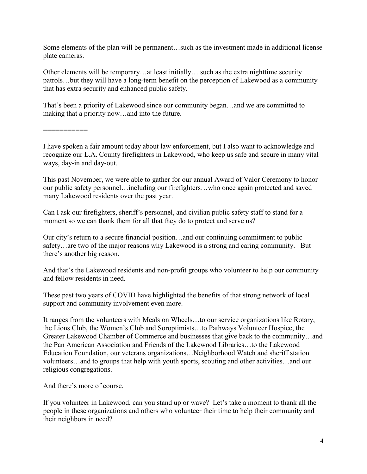Some elements of the plan will be permanent…such as the investment made in additional license plate cameras.

Other elements will be temporary…at least initially… such as the extra nighttime security patrols…but they will have a long-term benefit on the perception of Lakewood as a community that has extra security and enhanced public safety.

That's been a priority of Lakewood since our community began…and we are committed to making that a priority now…and into the future.

===========

I have spoken a fair amount today about law enforcement, but I also want to acknowledge and recognize our L.A. County firefighters in Lakewood, who keep us safe and secure in many vital ways, day-in and day-out.

This past November, we were able to gather for our annual Award of Valor Ceremony to honor our public safety personnel…including our firefighters…who once again protected and saved many Lakewood residents over the past year.

Can I ask our firefighters, sheriff's personnel, and civilian public safety staff to stand for a moment so we can thank them for all that they do to protect and serve us?

Our city's return to a secure financial position…and our continuing commitment to public safety…are two of the major reasons why Lakewood is a strong and caring community. But there's another big reason.

And that's the Lakewood residents and non-profit groups who volunteer to help our community and fellow residents in need.

These past two years of COVID have highlighted the benefits of that strong network of local support and community involvement even more.

It ranges from the volunteers with Meals on Wheels…to our service organizations like Rotary, the Lions Club, the Women's Club and Soroptimists…to Pathways Volunteer Hospice, the Greater Lakewood Chamber of Commerce and businesses that give back to the community…and the Pan American Association and Friends of the Lakewood Libraries…to the Lakewood Education Foundation, our veterans organizations…Neighborhood Watch and sheriff station volunteers…and to groups that help with youth sports, scouting and other activities…and our religious congregations.

And there's more of course.

If you volunteer in Lakewood, can you stand up or wave? Let's take a moment to thank all the people in these organizations and others who volunteer their time to help their community and their neighbors in need?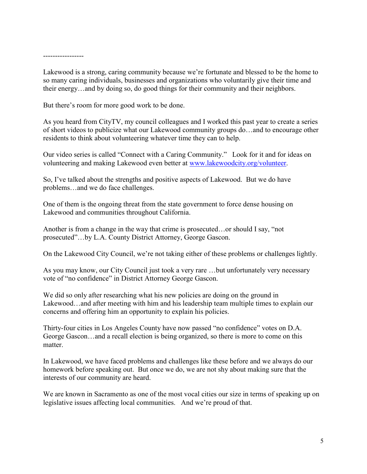-----------------

Lakewood is a strong, caring community because we're fortunate and blessed to be the home to so many caring individuals, businesses and organizations who voluntarily give their time and their energy…and by doing so, do good things for their community and their neighbors.

But there's room for more good work to be done.

As you heard from CityTV, my council colleagues and I worked this past year to create a series of short videos to publicize what our Lakewood community groups do…and to encourage other residents to think about volunteering whatever time they can to help.

Our video series is called "Connect with a Caring Community." Look for it and for ideas on volunteering and making Lakewood even better at [www.lakewoodcity.org/volunteer.](http://www.lakewoodcity.org/volunteer)

So, I've talked about the strengths and positive aspects of Lakewood. But we do have problems…and we do face challenges.

One of them is the ongoing threat from the state government to force dense housing on Lakewood and communities throughout California.

Another is from a change in the way that crime is prosecuted…or should I say, "not prosecuted"…by L.A. County District Attorney, George Gascon.

On the Lakewood City Council, we're not taking either of these problems or challenges lightly.

As you may know, our City Council just took a very rare …but unfortunately very necessary vote of "no confidence" in District Attorney George Gascon.

We did so only after researching what his new policies are doing on the ground in Lakewood…and after meeting with him and his leadership team multiple times to explain our concerns and offering him an opportunity to explain his policies.

Thirty-four cities in Los Angeles County have now passed "no confidence" votes on D.A. George Gascon…and a recall election is being organized, so there is more to come on this matter.

In Lakewood, we have faced problems and challenges like these before and we always do our homework before speaking out. But once we do, we are not shy about making sure that the interests of our community are heard.

We are known in Sacramento as one of the most vocal cities our size in terms of speaking up on legislative issues affecting local communities. And we're proud of that.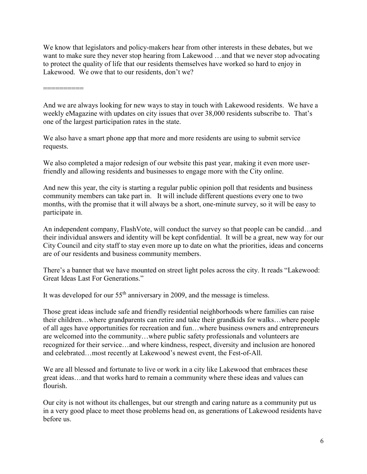We know that legislators and policy-makers hear from other interests in these debates, but we want to make sure they never stop hearing from Lakewood …and that we never stop advocating to protect the quality of life that our residents themselves have worked so hard to enjoy in Lakewood. We owe that to our residents, don't we?

==========

And we are always looking for new ways to stay in touch with Lakewood residents. We have a weekly eMagazine with updates on city issues that over 38,000 residents subscribe to. That's one of the largest participation rates in the state.

We also have a smart phone app that more and more residents are using to submit service requests.

We also completed a major redesign of our website this past year, making it even more userfriendly and allowing residents and businesses to engage more with the City online.

And new this year, the city is starting a regular public opinion poll that residents and business community members can take part in. It will include different questions every one to two months, with the promise that it will always be a short, one-minute survey, so it will be easy to participate in.

An independent company, FlashVote, will conduct the survey so that people can be candid…and their individual answers and identity will be kept confidential. It will be a great, new way for our City Council and city staff to stay even more up to date on what the priorities, ideas and concerns are of our residents and business community members.

There's a banner that we have mounted on street light poles across the city. It reads "Lakewood: Great Ideas Last For Generations."

It was developed for our  $55<sup>th</sup>$  anniversary in 2009, and the message is timeless.

Those great ideas include safe and friendly residential neighborhoods where families can raise their children…where grandparents can retire and take their grandkids for walks…where people of all ages have opportunities for recreation and fun…where business owners and entrepreneurs are welcomed into the community…where public safety professionals and volunteers are recognized for their service…and where kindness, respect, diversity and inclusion are honored and celebrated…most recently at Lakewood's newest event, the Fest-of-All.

We are all blessed and fortunate to live or work in a city like Lakewood that embraces these great ideas…and that works hard to remain a community where these ideas and values can flourish.

Our city is not without its challenges, but our strength and caring nature as a community put us in a very good place to meet those problems head on, as generations of Lakewood residents have before us.